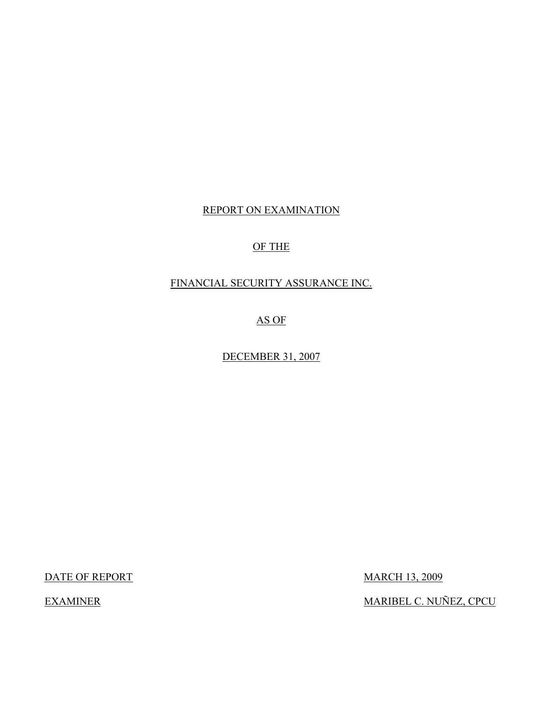## REPORT ON EXAMINATION

## OF THE

## FINANCIAL SECURITY ASSURANCE INC.

AS OF

DECEMBER 31, 2007

DATE OF REPORT MARCH 13, 2009

EXAMINER MARIBEL C. NUÑEZ, CPCU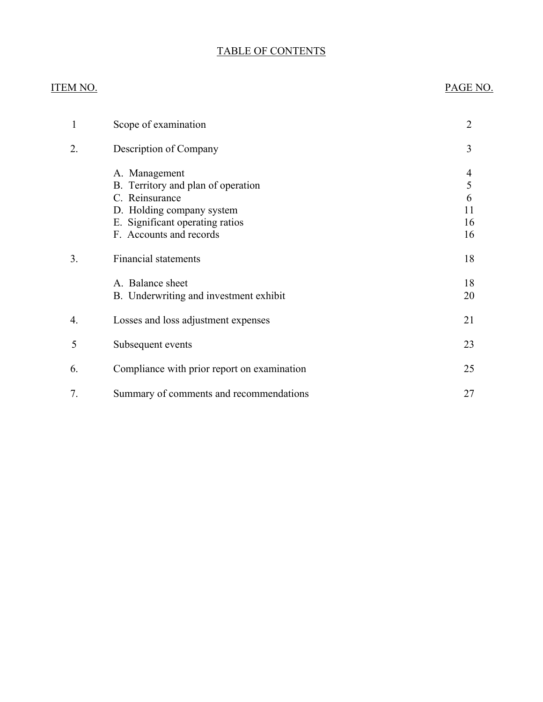## TABLE OF CONTENTS

## ITEM NO. PAGE NO.

| 1  | Scope of examination                                                                                                                                             | 2                             |
|----|------------------------------------------------------------------------------------------------------------------------------------------------------------------|-------------------------------|
| 2. | Description of Company                                                                                                                                           | 3                             |
|    | A. Management<br>B. Territory and plan of operation<br>C. Reinsurance<br>D. Holding company system<br>E. Significant operating ratios<br>F. Accounts and records | 4<br>5<br>6<br>11<br>16<br>16 |
| 3. | <b>Financial statements</b>                                                                                                                                      | 18                            |
|    | A. Balance sheet<br>B. Underwriting and investment exhibit                                                                                                       | 18<br>20                      |
| 4. | Losses and loss adjustment expenses                                                                                                                              | 21                            |
| 5  | Subsequent events                                                                                                                                                | 23                            |
| 6. | Compliance with prior report on examination                                                                                                                      | 25                            |
| 7. | Summary of comments and recommendations                                                                                                                          | 27                            |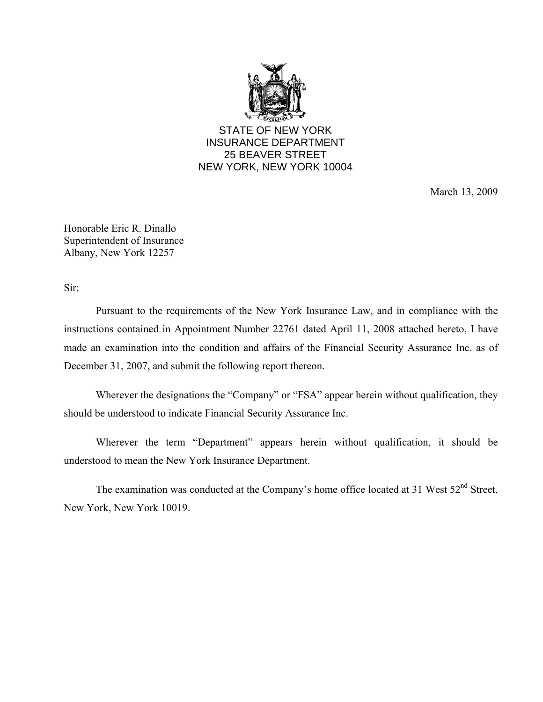

STATE OF NEW YORK INSURANCE DEPARTMENT 25 BEAVER STREET NEW YORK, NEW YORK 10004

March 13, 2009

Honorable Eric R. Dinallo Superintendent of Insurance Albany, New York 12257

Sir:

Pursuant to the requirements of the New York Insurance Law, and in compliance with the instructions contained in Appointment Number 22761 dated April 11, 2008 attached hereto, I have made an examination into the condition and affairs of the Financial Security Assurance Inc. as of December 31, 2007, and submit the following report thereon.

 Wherever the designations the "Company" or "FSA" appear herein without qualification, they should be understood to indicate Financial Security Assurance Inc.

Wherever the term "Department" appears herein without qualification, it should be understood to mean the New York Insurance Department.

The examination was conducted at the Company's home office located at 31 West  $52<sup>nd</sup>$  Street, New York, New York 10019.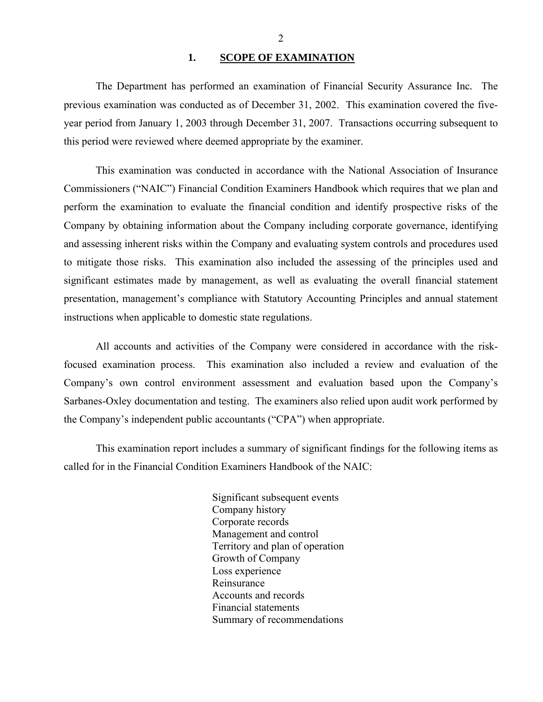#### 1. **SCOPE OF EXAMINATION**

<span id="page-3-0"></span>The Department has performed an examination of Financial Security Assurance Inc*.* The previous examination was conducted as of December 31, 2002. This examination covered the fiveyear period from January 1, 2003 through December 31, 2007. Transactions occurring subsequent to this period were reviewed where deemed appropriate by the examiner.

This examination was conducted in accordance with the National Association of Insurance Commissioners ("NAIC") Financial Condition Examiners Handbook which requires that we plan and perform the examination to evaluate the financial condition and identify prospective risks of the Company by obtaining information about the Company including corporate governance, identifying and assessing inherent risks within the Company and evaluating system controls and procedures used to mitigate those risks. This examination also included the assessing of the principles used and significant estimates made by management, as well as evaluating the overall financial statement presentation, management's compliance with Statutory Accounting Principles and annual statement instructions when applicable to domestic state regulations.

All accounts and activities of the Company were considered in accordance with the riskfocused examination process. This examination also included a review and evaluation of the Company's own control environment assessment and evaluation based upon the Company's Sarbanes-Oxley documentation and testing. The examiners also relied upon audit work performed by the Company's independent public accountants ("CPA") when appropriate.

This examination report includes a summary of significant findings for the following items as called for in the Financial Condition Examiners Handbook of the NAIC:

> Significant subsequent events Company history Corporate records Management and control Territory and plan of operation Growth of Company Loss experience Reinsurance Accounts and records Financial statements Summary of recommendations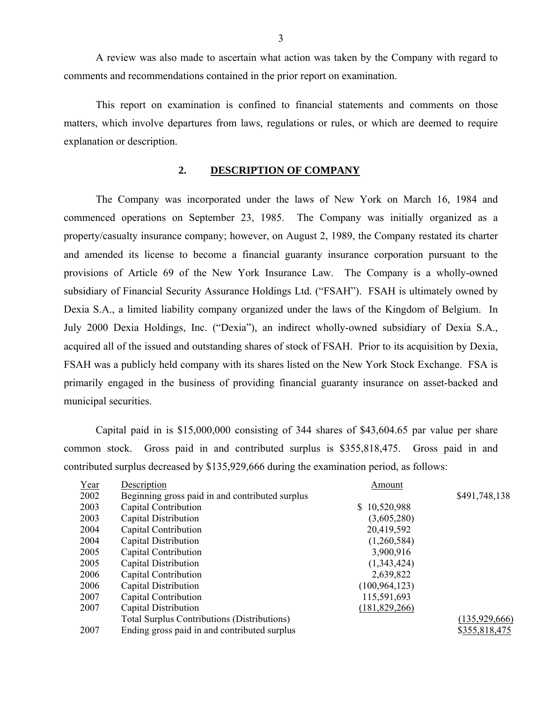A review was also made to ascertain what action was taken by the Company with regard to comments and recommendations contained in the prior report on examination.

This report on examination is confined to financial statements and comments on those matters, which involve departures from laws, regulations or rules, or which are deemed to require explanation or description.

#### **2. DESCRIPTION OF COMPANY**

The Company was incorporated under the laws of New York on March 16, 1984 and commenced operations on September 23, 1985. The Company was initially organized as a property/casualty insurance company; however, on August 2, 1989, the Company restated its charter and amended its license to become a financial guaranty insurance corporation pursuant to the provisions of Article 69 of the New York Insurance Law. The Company is a wholly-owned subsidiary of Financial Security Assurance Holdings Ltd. ("FSAH"). FSAH is ultimately owned by Dexia S.A., a limited liability company organized under the laws of the Kingdom of Belgium. In July 2000 Dexia Holdings, Inc. ("Dexia"), an indirect wholly-owned subsidiary of Dexia S.A., acquired all of the issued and outstanding shares of stock of FSAH. Prior to its acquisition by Dexia, FSAH was a publicly held company with its shares listed on the New York Stock Exchange. FSA is primarily engaged in the business of providing financial guaranty insurance on asset-backed and municipal securities.

Capital paid in is \$15,000,000 consisting of 344 shares of [\\$43,604.65](https://43,604.65) par value per share common stock. Gross paid in and contributed surplus is \$355,818,475. Gross paid in and contributed surplus decreased by \$135,929,666 during the examination period, as follows:

| Year | Description                                        | Amount           |                 |
|------|----------------------------------------------------|------------------|-----------------|
| 2002 | Beginning gross paid in and contributed surplus    |                  | \$491,748,138   |
| 2003 | Capital Contribution                               | 10,520,988<br>S. |                 |
| 2003 | Capital Distribution                               | (3,605,280)      |                 |
| 2004 | Capital Contribution                               | 20,419,592       |                 |
| 2004 | Capital Distribution                               | (1,260,584)      |                 |
| 2005 | Capital Contribution                               | 3,900,916        |                 |
| 2005 | Capital Distribution                               | (1,343,424)      |                 |
| 2006 | Capital Contribution                               | 2,639,822        |                 |
| 2006 | Capital Distribution                               | (100, 964, 123)  |                 |
| 2007 | Capital Contribution                               | 115,591,693      |                 |
| 2007 | Capital Distribution                               | (181, 829, 266)  |                 |
|      | <b>Total Surplus Contributions (Distributions)</b> |                  | (135, 929, 666) |
| 2007 | Ending gross paid in and contributed surplus       |                  | \$355,818,475   |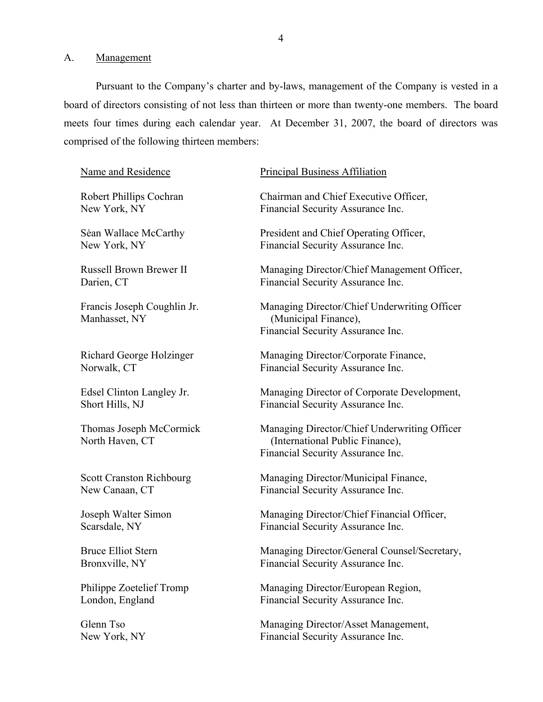<span id="page-5-0"></span>A. Management

Pursuant to the Company's charter and by-laws, management of the Company is vested in a board of directors consisting of not less than thirteen or more than twenty-one members. The board meets four times during each calendar year. At December 31, 2007, the board of directors was comprised of the following thirteen members:

#### Name and Residence

Robert Phillips Cochran New York, NY

Sėan Wallace McCarthy New York, NY

Russell Brown Brewer II Darien, CT

Francis Joseph Coughlin Jr. Manhasset, NY

Richard George Holzinger Norwalk, CT

Edsel Clinton Langley Jr. Short Hills, NJ

Thomas Joseph McCormick North Haven, CT

Scott Cranston Richbourg New Canaan, CT

Joseph Walter Simon Scarsdale, NY

Bruce Elliot Stern Bronxville, NY

Philippe Zoetelief Tromp London, England

Glenn Tso New York, NY

#### Principal Business Affiliation

Chairman and Chief Executive Officer, Financial Security Assurance Inc.

President and Chief Operating Officer, Financial Security Assurance Inc.

Managing Director/Chief Management Officer, Financial Security Assurance Inc.

Managing Director/Chief Underwriting Officer (Municipal Finance), Financial Security Assurance Inc.

Managing Director/Corporate Finance, Financial Security Assurance Inc.

Managing Director of Corporate Development, Financial Security Assurance Inc.

Managing Director/Chief Underwriting Officer (International Public Finance), Financial Security Assurance Inc.

Managing Director/Municipal Finance, Financial Security Assurance Inc.

Managing Director/Chief Financial Officer, Financial Security Assurance Inc.

Managing Director/General Counsel/Secretary, Financial Security Assurance Inc.

Managing Director/European Region, Financial Security Assurance Inc.

Managing Director/Asset Management, Financial Security Assurance Inc.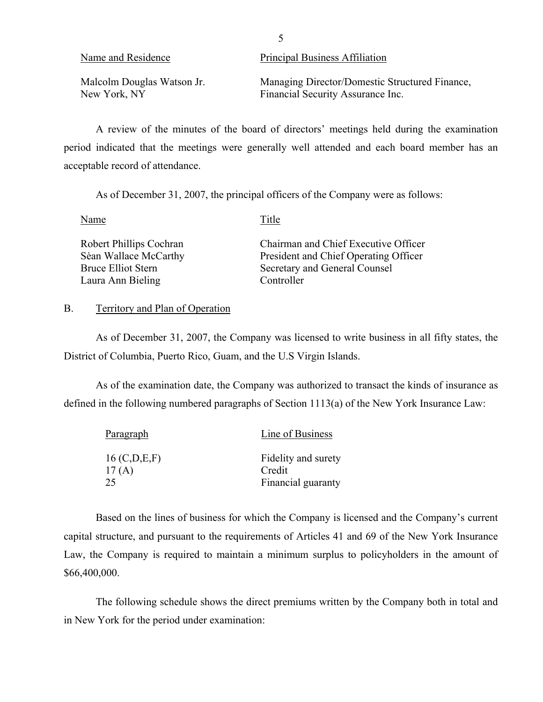<span id="page-6-0"></span>

| Name and Residence         | Principal Business Affiliation                 |
|----------------------------|------------------------------------------------|
| Malcolm Douglas Watson Jr. | Managing Director/Domestic Structured Finance, |
| New York, NY               | Financial Security Assurance Inc.              |

A review of the minutes of the board of directors' meetings held during the examination period indicated that the meetings were generally well attended and each board member has an acceptable record of attendance.

As of December 31, 2007, the principal officers of the Company were as follows:

Name Title

| Robert Phillips Cochran | Chairman and Chief Executive Officer  |
|-------------------------|---------------------------------------|
| Sean Wallace McCarthy   | President and Chief Operating Officer |
| Bruce Elliot Stern      | Secretary and General Counsel         |
| Laura Ann Bieling       | Controller                            |

#### B. Territory and Plan of Operation

As of December 31, 2007, the Company was licensed to write business in all fifty states, the District of Columbia, Puerto Rico, Guam, and the U.S Virgin Islands.

As of the examination date, the Company was authorized to transact the kinds of insurance as defined in the following numbered paragraphs of Section 1113(a) of the New York Insurance Law:

| Paragraph                | Line of Business              |
|--------------------------|-------------------------------|
| 16 (C, D, E, F)<br>17(A) | Fidelity and surety<br>Credit |
| 25                       | Financial guaranty            |

Based on the lines of business for which the Company is licensed and the Company's current capital structure, and pursuant to the requirements of Articles 41 and 69 of the New York Insurance Law, the Company is required to maintain a minimum surplus to policyholders in the amount of \$66,400,000.

The following schedule shows the direct premiums written by the Company both in total and in New York for the period under examination:

5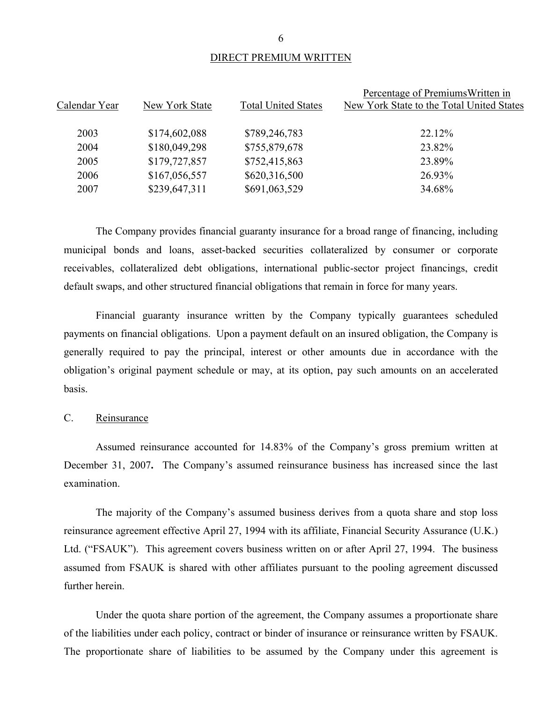#### DIRECT PREMIUM WRITTEN

| Calendar Year | New York State | <b>Total United States</b> | Percentage of PremiumsWritten in<br>New York State to the Total United States |
|---------------|----------------|----------------------------|-------------------------------------------------------------------------------|
| 2003          | \$174,602,088  | \$789,246,783              | 22.12%                                                                        |
| 2004          | \$180,049,298  | \$755,879,678              | 23.82%                                                                        |
| 2005          | \$179,727,857  | \$752,415,863              | 23.89%                                                                        |
| 2006          | \$167,056,557  | \$620,316,500              | 26.93%                                                                        |
| 2007          | \$239,647,311  | \$691,063,529              | 34.68%                                                                        |

The Company provides financial guaranty insurance for a broad range of financing, including municipal bonds and loans, asset-backed securities collateralized by consumer or corporate receivables, collateralized debt obligations, international public-sector project financings, credit default swaps, and other structured financial obligations that remain in force for many years.

Financial guaranty insurance written by the Company typically guarantees scheduled payments on financial obligations. Upon a payment default on an insured obligation, the Company is generally required to pay the principal, interest or other amounts due in accordance with the obligation's original payment schedule or may, at its option, pay such amounts on an accelerated basis.

#### C. Reinsurance

Assumed reinsurance accounted for 14.83% of the Company's gross premium written at December 31, 2007**.** The Company's assumed reinsurance business has increased since the last examination.

The majority of the Company's assumed business derives from a quota share and stop loss reinsurance agreement effective April 27, 1994 with its affiliate, Financial Security Assurance (U.K.) Ltd. ("FSAUK"). This agreement covers business written on or after April 27, 1994. The business assumed from FSAUK is shared with other affiliates pursuant to the pooling agreement discussed further herein.

Under the quota share portion of the agreement, the Company assumes a proportionate share of the liabilities under each policy, contract or binder of insurance or reinsurance written by FSAUK. The proportionate share of liabilities to be assumed by the Company under this agreement is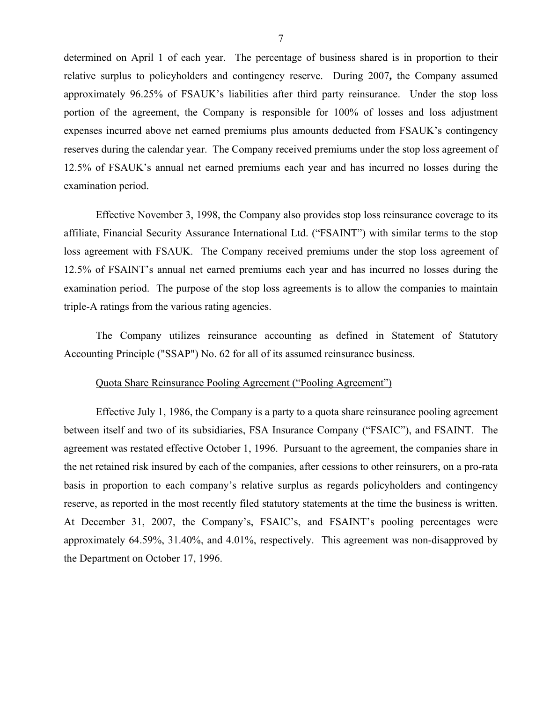determined on April 1 of each year. The percentage of business shared is in proportion to their relative surplus to policyholders and contingency reserve. During 2007**,** the Company assumed approximately 96.25% of FSAUK's liabilities after third party reinsurance. Under the stop loss portion of the agreement, the Company is responsible for 100% of losses and loss adjustment expenses incurred above net earned premiums plus amounts deducted from FSAUK's contingency reserves during the calendar year. The Company received premiums under the stop loss agreement of 12.5% of FSAUK's annual net earned premiums each year and has incurred no losses during the examination period.

Effective November 3, 1998, the Company also provides stop loss reinsurance coverage to its affiliate, Financial Security Assurance International Ltd. ("FSAINT") with similar terms to the stop loss agreement with FSAUK. The Company received premiums under the stop loss agreement of 12.5% of FSAINT's annual net earned premiums each year and has incurred no losses during the examination period. The purpose of the stop loss agreements is to allow the companies to maintain triple-A ratings from the various rating agencies.

The Company utilizes reinsurance accounting as defined in Statement of Statutory Accounting Principle ("SSAP") No. 62 for all of its assumed reinsurance business.

#### Quota Share Reinsurance Pooling Agreement ("Pooling Agreement")

Effective July 1, 1986, the Company is a party to a quota share reinsurance pooling agreement between itself and two of its subsidiaries, FSA Insurance Company ("FSAIC"), and FSAINT. The agreement was restated effective October 1, 1996. Pursuant to the agreement, the companies share in the net retained risk insured by each of the companies, after cessions to other reinsurers, on a pro-rata basis in proportion to each company's relative surplus as regards policyholders and contingency reserve, as reported in the most recently filed statutory statements at the time the business is written. At December 31, 2007, the Company's, FSAIC's, and FSAINT's pooling percentages were approximately 64.59%, 31.40%, and 4.01%, respectively. This agreement was non-disapproved by the Department on October 17, 1996.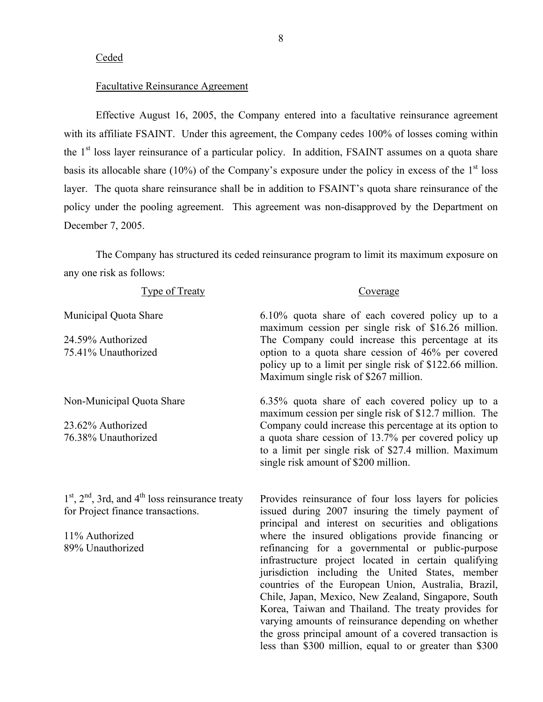#### Ceded

#### Facultative Reinsurance Agreement

Effective August 16, 2005, the Company entered into a facultative reinsurance agreement with its affiliate FSAINT. Under this agreement, the Company cedes 100% of losses coming within the  $1<sup>st</sup>$  loss layer reinsurance of a particular policy. In addition, FSAINT assumes on a quota share basis its allocable share (10%) of the Company's exposure under the policy in excess of the  $1<sup>st</sup>$  loss layer. The quota share reinsurance shall be in addition to FSAINT's quota share reinsurance of the policy under the pooling agreement. This agreement was non-disapproved by the Department on December 7, 2005.

The Company has structured its ceded reinsurance program to limit its maximum exposure on any one risk as follows:

|  | vne of Treaty |
|--|---------------|
|  |               |

#### Coverage

less than \$300 million, equal to or greater than \$300

Municipal Quota Share 24.59% Authorized 75.41% Unauthorized 6.10% quota share of each covered policy up to a maximum cession per single risk of \$16.26 million. The Company could increase this percentage at its option to a quota share cession of 46% per covered policy up to a limit per single risk of \$122.66 million. Maximum single risk of \$267 million. Non-Municipal Quota Share 23.62% Authorized 76.38% Unauthorized 6.35% quota share of each covered policy up to a maximum cession per single risk of \$12.7 million. The Company could increase this percentage at its option to a quota share cession of 13.7% per covered policy up to a limit per single risk of \$27.4 million. Maximum single risk amount of \$200 million.  $1<sup>st</sup>$ ,  $2<sup>nd</sup>$ , 3rd, and  $4<sup>th</sup>$  loss reinsurance treaty for Project finance transactions. 11% Authorized 89% Unauthorized Provides reinsurance of four loss layers for policies issued during 2007 insuring the timely payment of principal and interest on securities and obligations where the insured obligations provide financing or refinancing for a governmental or public-purpose infrastructure project located in certain qualifying jurisdiction including the United States, member countries of the European Union, Australia, Brazil, Chile, Japan, Mexico, New Zealand, Singapore, South Korea, Taiwan and Thailand. The treaty provides for varying amounts of reinsurance depending on whether the gross principal amount of a covered transaction is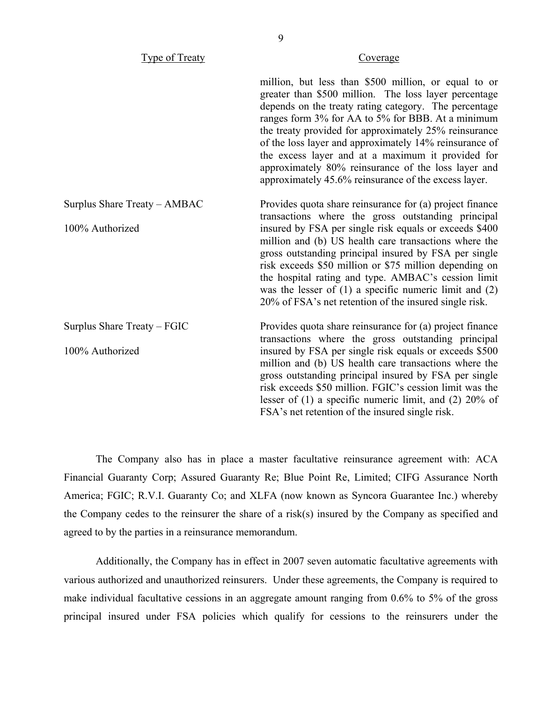Type of Treaty Coverage

million, but less than \$500 million, or equal to or greater than \$500 million. The loss layer percentage depends on the treaty rating category. The percentage ranges form 3% for AA to 5% for BBB. At a minimum the treaty provided for approximately 25% reinsurance of the loss layer and approximately 14% reinsurance of the excess layer and at a maximum it provided for approximately 80% reinsurance of the loss layer and approximately 45.6% reinsurance of the excess layer.

| Surplus Share Treaty – AMBAC | Provides quota share reinsurance for (a) project finance<br>transactions where the gross outstanding principal                                                                                                                                                                                                                                                                                                    |
|------------------------------|-------------------------------------------------------------------------------------------------------------------------------------------------------------------------------------------------------------------------------------------------------------------------------------------------------------------------------------------------------------------------------------------------------------------|
| 100% Authorized              | insured by FSA per single risk equals or exceeds \$400<br>million and (b) US health care transactions where the<br>gross outstanding principal insured by FSA per single<br>risk exceeds \$50 million or \$75 million depending on<br>the hospital rating and type. AMBAC's cession limit<br>was the lesser of $(1)$ a specific numeric limit and $(2)$<br>20% of FSA's net retention of the insured single risk. |
| Surplus Share Treaty – FGIC  | Provides quota share reinsurance for (a) project finance<br>transactions where the gross outstanding principal                                                                                                                                                                                                                                                                                                    |
| 100% Authorized              | insured by FSA per single risk equals or exceeds \$500<br>million and (b) US health care transactions where the<br>gross outstanding principal insured by FSA per single<br>risk exceeds \$50 million. FGIC's cession limit was the<br>lesser of $(1)$ a specific numeric limit, and $(2)$ 20% of<br>FSA's net retention of the insured single risk.                                                              |

The Company also has in place a master facultative reinsurance agreement with: ACA Financial Guaranty Corp; Assured Guaranty Re; Blue Point Re, Limited; CIFG Assurance North America; FGIC; R.V.I. Guaranty Co; and XLFA (now known as Syncora Guarantee Inc.) whereby the Company cedes to the reinsurer the share of a risk(s) insured by the Company as specified and agreed to by the parties in a reinsurance memorandum.

Additionally, the Company has in effect in 2007 seven automatic facultative agreements with various authorized and unauthorized reinsurers. Under these agreements, the Company is required to make individual facultative cessions in an aggregate amount ranging from 0.6% to 5% of the gross principal insured under FSA policies which qualify for cessions to the reinsurers under the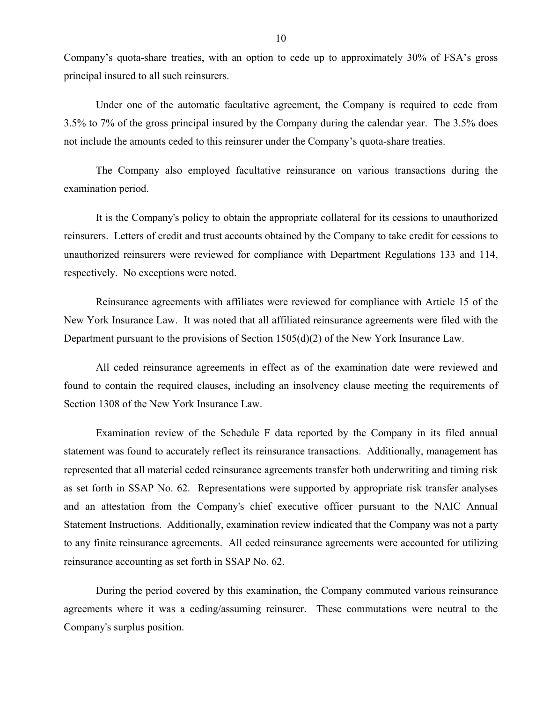Company's quota-share treaties, with an option to cede up to approximately 30% of FSA's gross principal insured to all such reinsurers.

Under one of the automatic facultative agreement, the Company is required to cede from 3.5% to 7% of the gross principal insured by the Company during the calendar year. The 3.5% does not include the amounts ceded to this reinsurer under the Company's quota-share treaties.

The Company also employed facultative reinsurance on various transactions during the examination period.

It is the Company's policy to obtain the appropriate collateral for its cessions to unauthorized reinsurers. Letters of credit and trust accounts obtained by the Company to take credit for cessions to unauthorized reinsurers were reviewed for compliance with Department Regulations 133 and 114, respectively. No exceptions were noted.

Reinsurance agreements with affiliates were reviewed for compliance with Article 15 of the New York Insurance Law. It was noted that all affiliated reinsurance agreements were filed with the Department pursuant to the provisions of Section 1505(d)(2) of the New York Insurance Law.

All ceded reinsurance agreements in effect as of the examination date were reviewed and found to contain the required clauses, including an insolvency clause meeting the requirements of Section 1308 of the New York Insurance Law.

Examination review of the Schedule F data reported by the Company in its filed annual statement was found to accurately reflect its reinsurance transactions. Additionally, management has represented that all material ceded reinsurance agreements transfer both underwriting and timing risk as set forth in SSAP No. 62. Representations were supported by appropriate risk transfer analyses and an attestation from the Company's chief executive officer pursuant to the NAIC Annual Statement Instructions. Additionally, examination review indicated that the Company was not a party to any finite reinsurance agreements. All ceded reinsurance agreements were accounted for utilizing reinsurance accounting as set forth in SSAP No. 62.

During the period covered by this examination, the Company commuted various reinsurance agreements where it was a ceding/assuming reinsurer. These commutations were neutral to the Company's surplus position.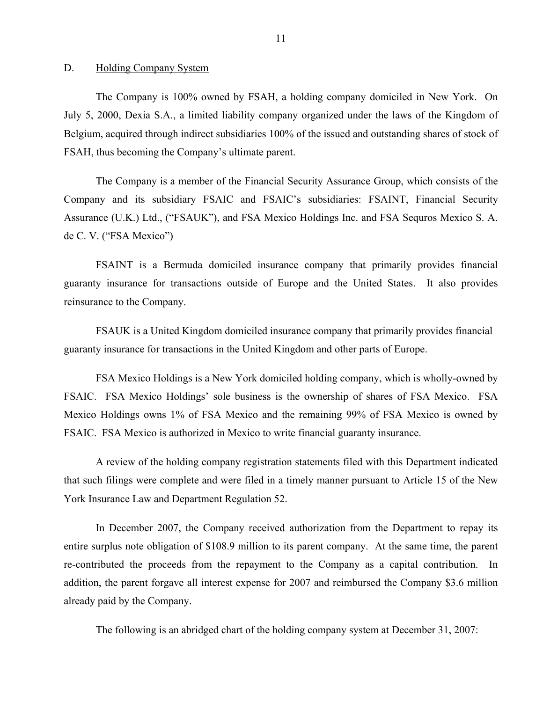#### <span id="page-12-0"></span>D. Holding Company System

The Company is 100% owned by FSAH, a holding company domiciled in New York. On July 5, 2000, Dexia S.A., a limited liability company organized under the laws of the Kingdom of Belgium, acquired through indirect subsidiaries 100% of the issued and outstanding shares of stock of FSAH, thus becoming the Company's ultimate parent.

The Company is a member of the Financial Security Assurance Group, which consists of the Company and its subsidiary FSAIC and FSAIC's subsidiaries: FSAINT, Financial Security Assurance (U.K.) Ltd., ("FSAUK"), and FSA Mexico Holdings Inc. and FSA Sequros Mexico S. A. de C. V. ("FSA Mexico")

FSAINT is a Bermuda domiciled insurance company that primarily provides financial guaranty insurance for transactions outside of Europe and the United States. It also provides reinsurance to the Company.

FSAUK is a United Kingdom domiciled insurance company that primarily provides financial guaranty insurance for transactions in the United Kingdom and other parts of Europe.

FSA Mexico Holdings is a New York domiciled holding company, which is wholly-owned by FSAIC. FSA Mexico Holdings' sole business is the ownership of shares of FSA Mexico. FSA Mexico Holdings owns 1% of FSA Mexico and the remaining 99% of FSA Mexico is owned by FSAIC. FSA Mexico is authorized in Mexico to write financial guaranty insurance.

A review of the holding company registration statements filed with this Department indicated that such filings were complete and were filed in a timely manner pursuant to Article 15 of the New York Insurance Law and Department Regulation 52.

In December 2007, the Company received authorization from the Department to repay its entire surplus note obligation of \$108.9 million to its parent company. At the same time, the parent re-contributed the proceeds from the repayment to the Company as a capital contribution. In addition, the parent forgave all interest expense for 2007 and reimbursed the Company \$3.6 million already paid by the Company.

The following is an abridged chart of the holding company system at December 31, 2007: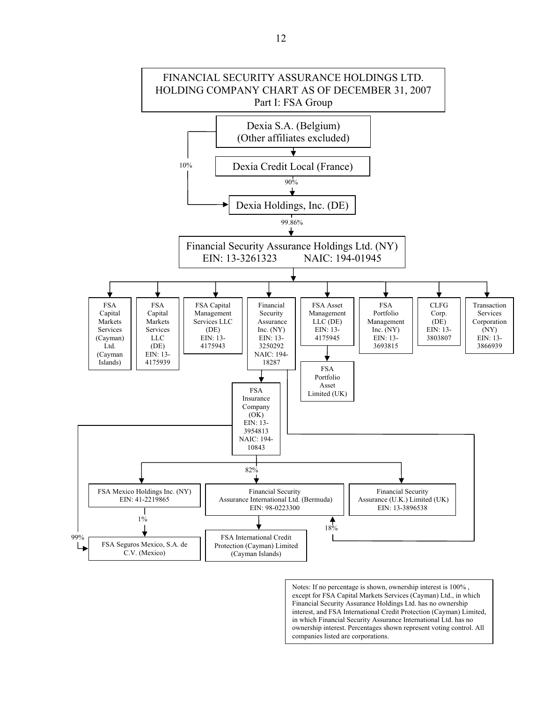

Notes: If no percentage is shown, ownership interest is 100% , except for FSA Capital Markets Services (Cayman) Ltd., in which Financial Security Assurance Holdings Ltd. has no ownership interest, and FSA International Credit Protection (Cayman) Limited, in which Financial Security Assurance International Ltd. has no ownership interest. Percentages shown represent voting control. All companies listed are corporations.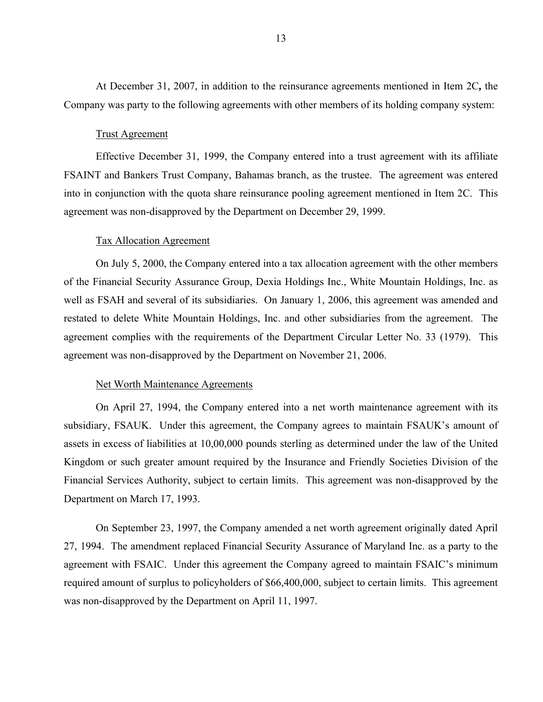At December 31, 2007, in addition to the reinsurance agreements mentioned in Item 2C**,** the Company was party to the following agreements with other members of its holding company system:

#### Trust Agreement

Effective December 31, 1999, the Company entered into a trust agreement with its affiliate FSAINT and Bankers Trust Company, Bahamas branch, as the trustee. The agreement was entered into in conjunction with the quota share reinsurance pooling agreement mentioned in Item 2C. This agreement was non-disapproved by the Department on December 29, 1999.

#### Tax Allocation Agreement

On July 5, 2000, the Company entered into a tax allocation agreement with the other members of the Financial Security Assurance Group, Dexia Holdings Inc., White Mountain Holdings, Inc. as well as FSAH and several of its subsidiaries. On January 1, 2006, this agreement was amended and restated to delete White Mountain Holdings, Inc. and other subsidiaries from the agreement. The agreement complies with the requirements of the Department Circular Letter No. 33 (1979). This agreement was non-disapproved by the Department on November 21, 2006.

#### Net Worth Maintenance Agreements

On April 27, 1994, the Company entered into a net worth maintenance agreement with its subsidiary, FSAUK. Under this agreement, the Company agrees to maintain FSAUK's amount of assets in excess of liabilities at 10,00,000 pounds sterling as determined under the law of the United Kingdom or such greater amount required by the Insurance and Friendly Societies Division of the Financial Services Authority, subject to certain limits. This agreement was non-disapproved by the Department on March 17, 1993.

On September 23, 1997, the Company amended a net worth agreement originally dated April 27, 1994. The amendment replaced Financial Security Assurance of Maryland Inc. as a party to the agreement with FSAIC. Under this agreement the Company agreed to maintain FSAIC's minimum required amount of surplus to policyholders of \$66,400,000, subject to certain limits. This agreement was non-disapproved by the Department on April 11, 1997.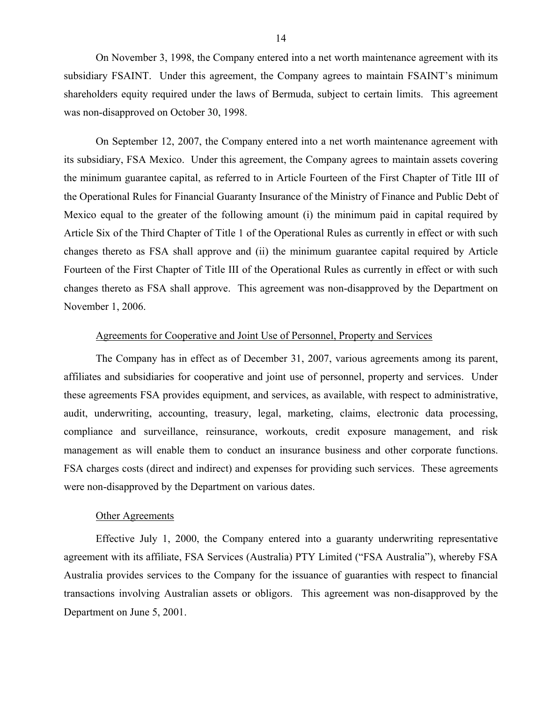On November 3, 1998, the Company entered into a net worth maintenance agreement with its subsidiary FSAINT. Under this agreement, the Company agrees to maintain FSAINT's minimum shareholders equity required under the laws of Bermuda, subject to certain limits. This agreement was non-disapproved on October 30, 1998.

On September 12, 2007, the Company entered into a net worth maintenance agreement with its subsidiary, FSA Mexico. Under this agreement, the Company agrees to maintain assets covering the minimum guarantee capital, as referred to in Article Fourteen of the First Chapter of Title III of the Operational Rules for Financial Guaranty Insurance of the Ministry of Finance and Public Debt of Mexico equal to the greater of the following amount (i) the minimum paid in capital required by Article Six of the Third Chapter of Title 1 of the Operational Rules as currently in effect or with such changes thereto as FSA shall approve and (ii) the minimum guarantee capital required by Article Fourteen of the First Chapter of Title III of the Operational Rules as currently in effect or with such changes thereto as FSA shall approve. This agreement was non-disapproved by the Department on November 1, 2006.

#### Agreements for Cooperative and Joint Use of Personnel, Property and Services

The Company has in effect as of December 31, 2007, various agreements among its parent, affiliates and subsidiaries for cooperative and joint use of personnel, property and services. Under these agreements FSA provides equipment, and services, as available, with respect to administrative, audit, underwriting, accounting, treasury, legal, marketing, claims, electronic data processing, compliance and surveillance, reinsurance, workouts, credit exposure management, and risk management as will enable them to conduct an insurance business and other corporate functions. FSA charges costs (direct and indirect) and expenses for providing such services. These agreements were non-disapproved by the Department on various dates.

#### Other Agreements

Effective July 1, 2000, the Company entered into a guaranty underwriting representative agreement with its affiliate, FSA Services (Australia) PTY Limited ("FSA Australia"), whereby FSA Australia provides services to the Company for the issuance of guaranties with respect to financial transactions involving Australian assets or obligors. This agreement was non-disapproved by the Department on June 5, 2001.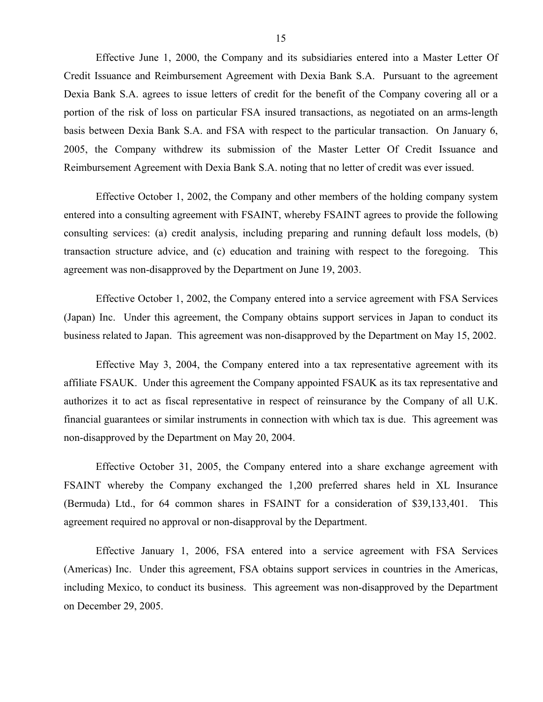Effective June 1, 2000, the Company and its subsidiaries entered into a Master Letter Of Credit Issuance and Reimbursement Agreement with Dexia Bank S.A. Pursuant to the agreement Dexia Bank S.A. agrees to issue letters of credit for the benefit of the Company covering all or a portion of the risk of loss on particular FSA insured transactions, as negotiated on an arms-length basis between Dexia Bank S.A. and FSA with respect to the particular transaction. On January 6, 2005, the Company withdrew its submission of the Master Letter Of Credit Issuance and Reimbursement Agreement with Dexia Bank S.A. noting that no letter of credit was ever issued.

Effective October 1, 2002, the Company and other members of the holding company system entered into a consulting agreement with FSAINT, whereby FSAINT agrees to provide the following consulting services: (a) credit analysis, including preparing and running default loss models, (b) transaction structure advice, and (c) education and training with respect to the foregoing. This agreement was non-disapproved by the Department on June 19, 2003.

Effective October 1, 2002, the Company entered into a service agreement with FSA Services (Japan) Inc. Under this agreement, the Company obtains support services in Japan to conduct its business related to Japan. This agreement was non-disapproved by the Department on May 15, 2002.

Effective May 3, 2004, the Company entered into a tax representative agreement with its affiliate FSAUK. Under this agreement the Company appointed FSAUK as its tax representative and authorizes it to act as fiscal representative in respect of reinsurance by the Company of all U.K. financial guarantees or similar instruments in connection with which tax is due. This agreement was non-disapproved by the Department on May 20, 2004.

Effective October 31, 2005, the Company entered into a share exchange agreement with FSAINT whereby the Company exchanged the 1,200 preferred shares held in XL Insurance (Bermuda) Ltd., for 64 common shares in FSAINT for a consideration of \$39,133,401. This agreement required no approval or non-disapproval by the Department.

Effective January 1, 2006, FSA entered into a service agreement with FSA Services (Americas) Inc. Under this agreement, FSA obtains support services in countries in the Americas, including Mexico, to conduct its business. This agreement was non-disapproved by the Department on December 29, 2005.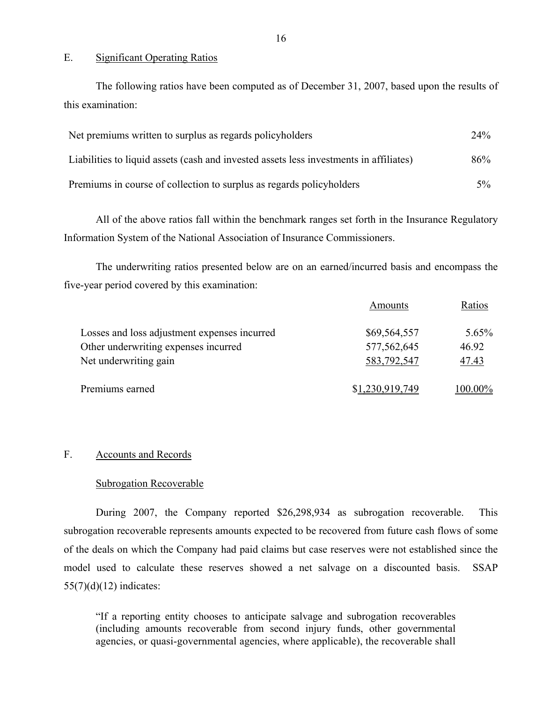#### E. Significant Operating Ratios

The following ratios have been computed as of December 31, 2007, based upon the results of this examination:

| Net premiums written to surplus as regards policyholders                               | $24\%$ |
|----------------------------------------------------------------------------------------|--------|
| Liabilities to liquid assets (cash and invested assets less investments in affiliates) | 86%    |
| Premiums in course of collection to surplus as regards policyholders                   | $5\%$  |

All of the above ratios fall within the benchmark ranges set forth in the Insurance Regulatory Information System of the National Association of Insurance Commissioners.

The underwriting ratios presented below are on an earned/incurred basis and encompass the five-year period covered by this examination:

|                                              | Amounts         | Ratios   |
|----------------------------------------------|-----------------|----------|
| Losses and loss adjustment expenses incurred | \$69,564,557    | $5.65\%$ |
| Other underwriting expenses incurred         | 577,562,645     | 46.92    |
| Net underwriting gain                        | 583,792,547     | 47.43    |
| Premiums earned                              | \$1,230,919,749 | 100.00%  |

#### F. Accounts and Records

#### Subrogation Recoverable

During 2007, the Company reported \$26,298,934 as subrogation recoverable. This subrogation recoverable represents amounts expected to be recovered from future cash flows of some of the deals on which the Company had paid claims but case reserves were not established since the model used to calculate these reserves showed a net salvage on a discounted basis. SSAP  $55(7)(d)(12)$  indicates:

"If a reporting entity chooses to anticipate salvage and subrogation recoverables (including amounts recoverable from second injury funds, other governmental agencies, or quasi-governmental agencies, where applicable), the recoverable shall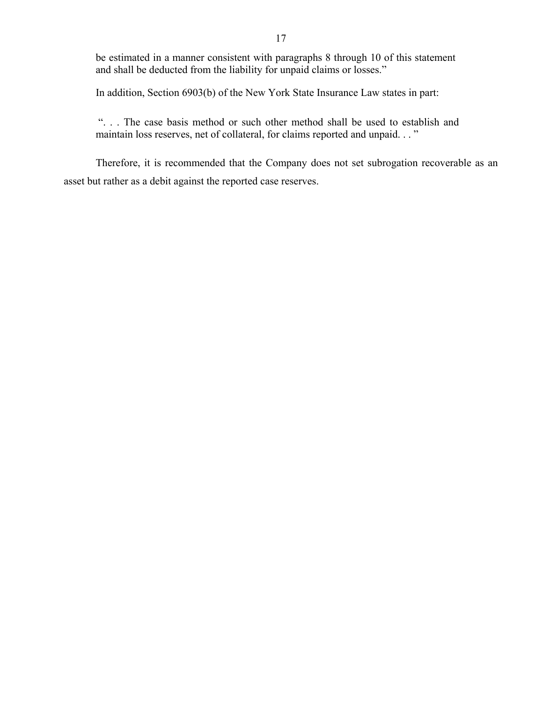be estimated in a manner consistent with paragraphs 8 through 10 of this statement and shall be deducted from the liability for unpaid claims or losses."

In addition, Section 6903(b) of the New York State Insurance Law states in part:

". . . The case basis method or such other method shall be used to establish and maintain loss reserves, net of collateral, for claims reported and unpaid. . . "

Therefore, it is recommended that the Company does not set subrogation recoverable as an asset but rather as a debit against the reported case reserves.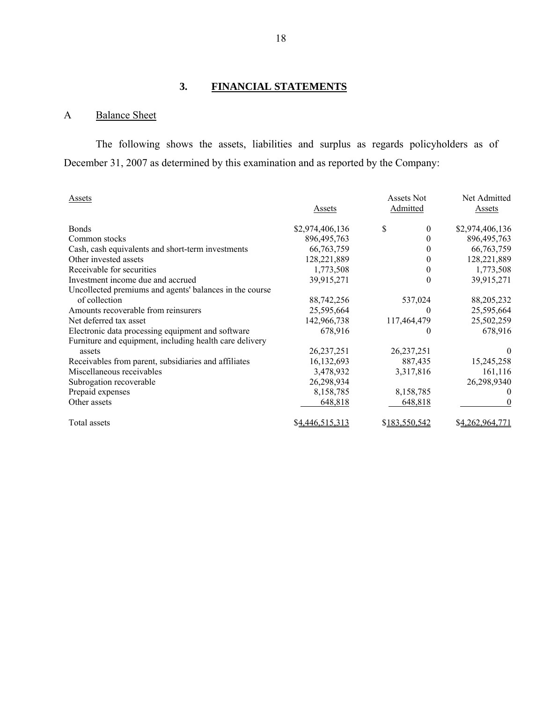## **3. FINANCIAL STATEMENTS**

## A Balance Sheet

The following shows the assets, liabilities and surplus as regards policyholders as of December 31, 2007 as determined by this examination and as reported by the Company:

| Assets                                                  | Assets          | <b>Assets Not</b><br>Admitted | Net Admitted<br>Assets |
|---------------------------------------------------------|-----------------|-------------------------------|------------------------|
| <b>Bonds</b>                                            | \$2,974,406,136 | \$<br>$\theta$                | \$2,974,406,136        |
| Common stocks                                           | 896, 495, 763   | $\theta$                      | 896, 495, 763          |
| Cash, cash equivalents and short-term investments       | 66, 763, 759    | $\theta$                      | 66, 763, 759           |
| Other invested assets                                   | 128,221,889     | 0                             | 128,221,889            |
| Receivable for securities                               | 1,773,508       | 0                             | 1,773,508              |
| Investment income due and accrued                       | 39,915,271      | $\boldsymbol{0}$              | 39,915,271             |
| Uncollected premiums and agents' balances in the course |                 |                               |                        |
| of collection                                           | 88,742,256      | 537,024                       | 88,205,232             |
| Amounts recoverable from reinsurers                     | 25,595,664      | $\theta$                      | 25,595,664             |
| Net deferred tax asset                                  | 142,966,738     | 117,464,479                   | 25,502,259             |
| Electronic data processing equipment and software       | 678,916         | $\theta$                      | 678,916                |
| Furniture and equipment, including health care delivery |                 |                               |                        |
| assets                                                  | 26, 237, 251    | 26, 237, 251                  | $\theta$               |
| Receivables from parent, subsidiaries and affiliates    | 16,132,693      | 887,435                       | 15,245,258             |
| Miscellaneous receivables                               | 3,478,932       | 3,317,816                     | 161,116                |
| Subrogation recoverable                                 | 26,298,934      |                               | 26,298,9340            |
| Prepaid expenses                                        | 8,158,785       | 8,158,785                     | $\theta$               |
| Other assets                                            | 648,818         | 648,818                       | 0                      |
| Total assets                                            | \$4,446,515,313 | \$183,550,542                 | \$4,262,964,771        |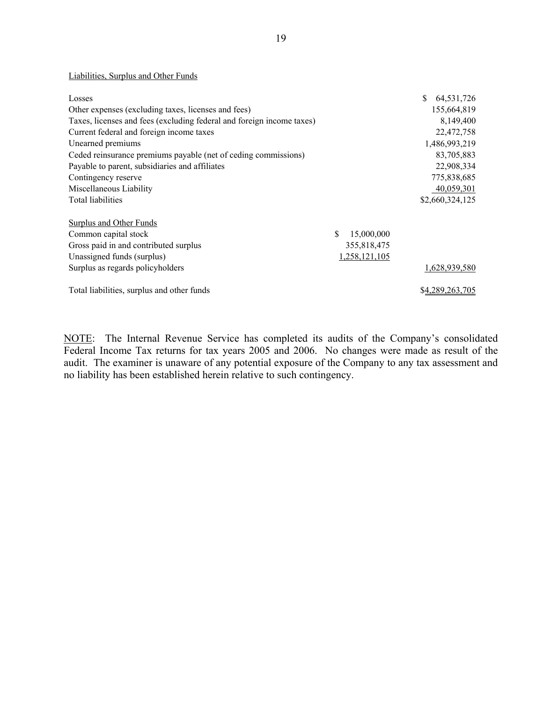#### Liabilities, Surplus and Other Funds

| Losses                                                                |                  | 64,531,726      |
|-----------------------------------------------------------------------|------------------|-----------------|
| Other expenses (excluding taxes, licenses and fees)                   |                  | 155,664,819     |
| Taxes, licenses and fees (excluding federal and foreign income taxes) |                  | 8,149,400       |
| Current federal and foreign income taxes                              |                  | 22,472,758      |
| Unearned premiums                                                     |                  | 1,486,993,219   |
| Ceded reinsurance premiums payable (net of ceding commissions)        |                  | 83,705,883      |
| Payable to parent, subsidiaries and affiliates                        |                  | 22,908,334      |
| Contingency reserve                                                   |                  | 775,838,685     |
| Miscellaneous Liability                                               |                  | 40,059,301      |
| Total liabilities                                                     |                  | \$2,660,324,125 |
| <b>Surplus and Other Funds</b>                                        |                  |                 |
| Common capital stock                                                  | \$<br>15,000,000 |                 |
| Gross paid in and contributed surplus                                 | 355,818,475      |                 |
| Unassigned funds (surplus)                                            | 1,258,121,105    |                 |
| Surplus as regards policyholders                                      |                  | 1,628,939,580   |
| Total liabilities, surplus and other funds                            |                  | \$4,289,263,705 |

NOTE: The Internal Revenue Service has completed its audits of the Company's consolidated Federal Income Tax returns for tax years 2005 and 2006. No changes were made as result of the audit. The examiner is unaware of any potential exposure of the Company to any tax assessment and no liability has been established herein relative to such contingency.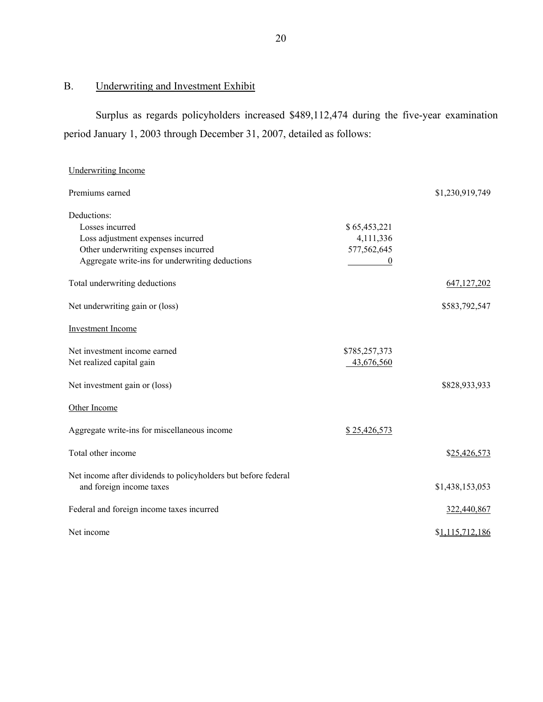## B. Underwriting and Investment Exhibit

Surplus as regards policyholders increased \$489,112,474 during the five-year examination period January 1, 2003 through December 31, 2007, detailed as follows:

| <b>Underwriting Income</b>                                     |                  |                 |
|----------------------------------------------------------------|------------------|-----------------|
| Premiums earned                                                |                  | \$1,230,919,749 |
| Deductions:                                                    |                  |                 |
| Losses incurred                                                | \$65,453,221     |                 |
| Loss adjustment expenses incurred                              | 4,111,336        |                 |
| Other underwriting expenses incurred                           | 577,562,645      |                 |
| Aggregate write-ins for underwriting deductions                | $\boldsymbol{0}$ |                 |
| Total underwriting deductions                                  |                  | 647, 127, 202   |
| Net underwriting gain or (loss)                                |                  | \$583,792,547   |
| <b>Investment Income</b>                                       |                  |                 |
| Net investment income earned                                   | \$785,257,373    |                 |
| Net realized capital gain                                      | 43,676,560       |                 |
| Net investment gain or (loss)                                  |                  | \$828,933,933   |
| Other Income                                                   |                  |                 |
| Aggregate write-ins for miscellaneous income                   | \$25,426,573     |                 |
| Total other income                                             |                  | \$25,426,573    |
| Net income after dividends to policyholders but before federal |                  |                 |
| and foreign income taxes                                       |                  | \$1,438,153,053 |
| Federal and foreign income taxes incurred                      |                  | 322,440,867     |
| Net income                                                     |                  | \$1,115,712,186 |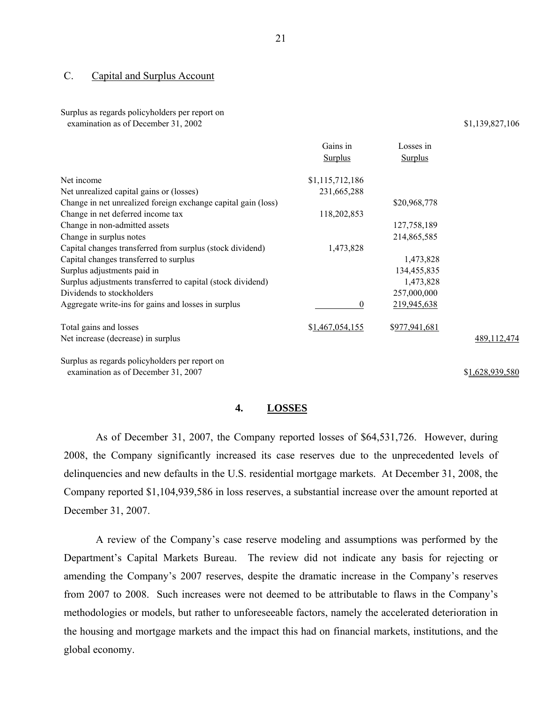#### <span id="page-22-0"></span>C. Capital and Surplus Account

#### Surplus as regards policyholders per report on

examination as of December 31, 2002 \$1,139,827,106

|                                                               | Gains in        | Losses in      |                 |
|---------------------------------------------------------------|-----------------|----------------|-----------------|
|                                                               | <b>Surplus</b>  | <b>Surplus</b> |                 |
| Net income                                                    | \$1,115,712,186 |                |                 |
| Net unrealized capital gains or (losses)                      | 231,665,288     |                |                 |
| Change in net unrealized foreign exchange capital gain (loss) |                 | \$20,968,778   |                 |
| Change in net deferred income tax                             | 118,202,853     |                |                 |
| Change in non-admitted assets                                 |                 | 127,758,189    |                 |
| Change in surplus notes                                       |                 | 214,865,585    |                 |
| Capital changes transferred from surplus (stock dividend)     | 1,473,828       |                |                 |
| Capital changes transferred to surplus                        |                 | 1,473,828      |                 |
| Surplus adjustments paid in                                   |                 | 134,455,835    |                 |
| Surplus adjustments transferred to capital (stock dividend)   |                 | 1,473,828      |                 |
| Dividends to stockholders                                     |                 | 257,000,000    |                 |
| Aggregate write-ins for gains and losses in surplus           | $\Omega$        | 219,945,638    |                 |
| Total gains and losses                                        | \$1,467,054,155 | \$977,941,681  |                 |
| Net increase (decrease) in surplus                            |                 |                | 489, 112, 474   |
| Surplus as regards policyholders per report on                |                 |                |                 |
| examination as of December 31, 2007                           |                 |                | \$1,628,939,580 |

#### **4. LOSSES**

As of December 31, 2007, the Company reported losses of \$64,531,726. However, during 2008, the Company significantly increased its case reserves due to the unprecedented levels of delinquencies and new defaults in the U.S. residential mortgage markets. At December 31, 2008, the Company reported \$1,104,939,586 in loss reserves, a substantial increase over the amount reported at December 31, 2007.

A review of the Company's case reserve modeling and assumptions was performed by the Department's Capital Markets Bureau. The review did not indicate any basis for rejecting or amending the Company's 2007 reserves, despite the dramatic increase in the Company's reserves from 2007 to 2008. Such increases were not deemed to be attributable to flaws in the Company's methodologies or models, but rather to unforeseeable factors, namely the accelerated deterioration in the housing and mortgage markets and the impact this had on financial markets, institutions, and the global economy.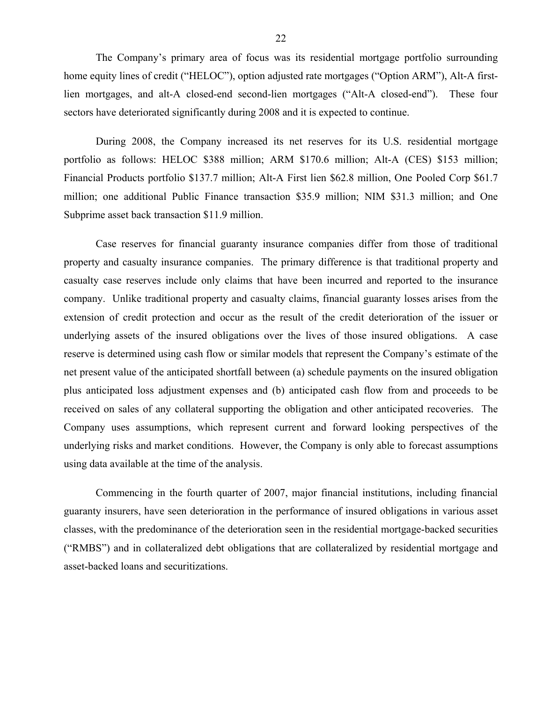The Company's primary area of focus was its residential mortgage portfolio surrounding home equity lines of credit ("HELOC"), option adjusted rate mortgages ("Option ARM"), Alt-A firstlien mortgages, and alt-A closed-end second-lien mortgages ("Alt-A closed-end"). These four sectors have deteriorated significantly during 2008 and it is expected to continue.

During 2008, the Company increased its net reserves for its U.S. residential mortgage portfolio as follows: HELOC \$388 million; ARM \$170.6 million; Alt-A (CES) \$153 million; Financial Products portfolio \$137.7 million; Alt-A First lien \$62.8 million, One Pooled Corp \$61.7 million; one additional Public Finance transaction \$35.9 million; NIM \$31.3 million; and One Subprime asset back transaction \$11.9 million.

Case reserves for financial guaranty insurance companies differ from those of traditional property and casualty insurance companies. The primary difference is that traditional property and casualty case reserves include only claims that have been incurred and reported to the insurance company. Unlike traditional property and casualty claims, financial guaranty losses arises from the extension of credit protection and occur as the result of the credit deterioration of the issuer or underlying assets of the insured obligations over the lives of those insured obligations. A case reserve is determined using cash flow or similar models that represent the Company's estimate of the net present value of the anticipated shortfall between (a) schedule payments on the insured obligation plus anticipated loss adjustment expenses and (b) anticipated cash flow from and proceeds to be received on sales of any collateral supporting the obligation and other anticipated recoveries. The Company uses assumptions, which represent current and forward looking perspectives of the underlying risks and market conditions. However, the Company is only able to forecast assumptions using data available at the time of the analysis.

Commencing in the fourth quarter of 2007, major financial institutions, including financial guaranty insurers, have seen deterioration in the performance of insured obligations in various asset classes, with the predominance of the deterioration seen in the residential mortgage-backed securities ("RMBS") and in collateralized debt obligations that are collateralized by residential mortgage and asset-backed loans and securitizations.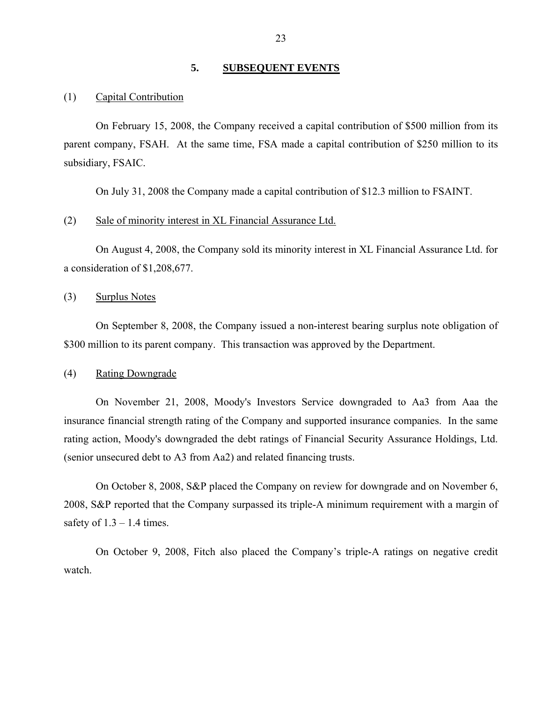### **5. SUBSEQUENT EVENTS**

#### <span id="page-24-0"></span>(1) Capital Contribution

On February 15, 2008, the Company received a capital contribution of \$500 million from its parent company, FSAH. At the same time, FSA made a capital contribution of \$250 million to its subsidiary, FSAIC.

On July 31, 2008 the Company made a capital contribution of \$12.3 million to FSAINT.

#### (2) Sale of minority interest in XL Financial Assurance Ltd.

On August 4, 2008, the Company sold its minority interest in XL Financial Assurance Ltd. for a consideration of \$1,208,677.

#### (3) Surplus Notes

On September 8, 2008, the Company issued a non-interest bearing surplus note obligation of \$300 million to its parent company. This transaction was approved by the Department.

#### (4) Rating Downgrade

On November 21, 2008, Moody's Investors Service downgraded to Aa3 from Aaa the insurance financial strength rating of the Company and supported insurance companies. In the same rating action, Moody's downgraded the debt ratings of Financial Security Assurance Holdings, Ltd. (senior unsecured debt to A3 from Aa2) and related financing trusts.

On October 8, 2008, S&P placed the Company on review for downgrade and on November 6, 2008, S&P reported that the Company surpassed its triple-A minimum requirement with a margin of safety of  $1.3 - 1.4$  times.

On October 9, 2008, Fitch also placed the Company's triple-A ratings on negative credit watch.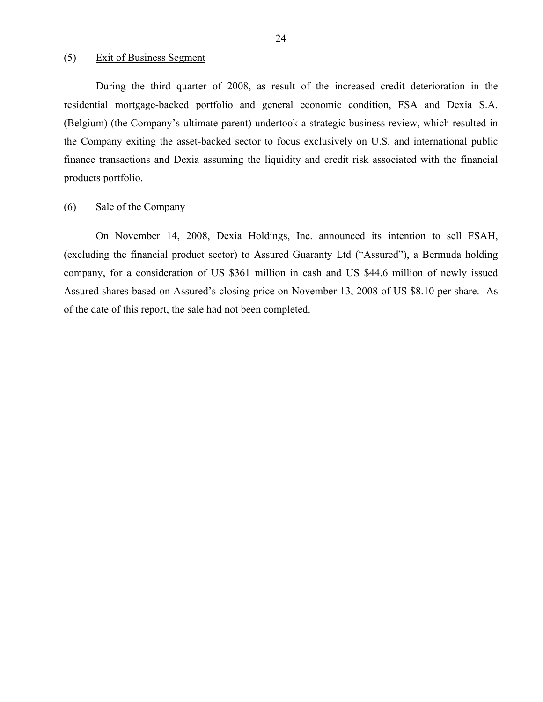#### (5) Exit of Business Segment

During the third quarter of 2008, as result of the increased credit deterioration in the residential mortgage-backed portfolio and general economic condition, FSA and Dexia S.A. (Belgium) (the Company's ultimate parent) undertook a strategic business review, which resulted in the Company exiting the asset-backed sector to focus exclusively on U.S. and international public finance transactions and Dexia assuming the liquidity and credit risk associated with the financial products portfolio.

#### (6) Sale of the Company

On November 14, 2008, Dexia Holdings, Inc. announced its intention to sell FSAH, (excluding the financial product sector) to Assured Guaranty Ltd ("Assured"), a Bermuda holding company, for a consideration of US \$361 million in cash and US \$44.6 million of newly issued Assured shares based on Assured's closing price on November 13, 2008 of US \$8.10 per share. As of the date of this report, the sale had not been completed.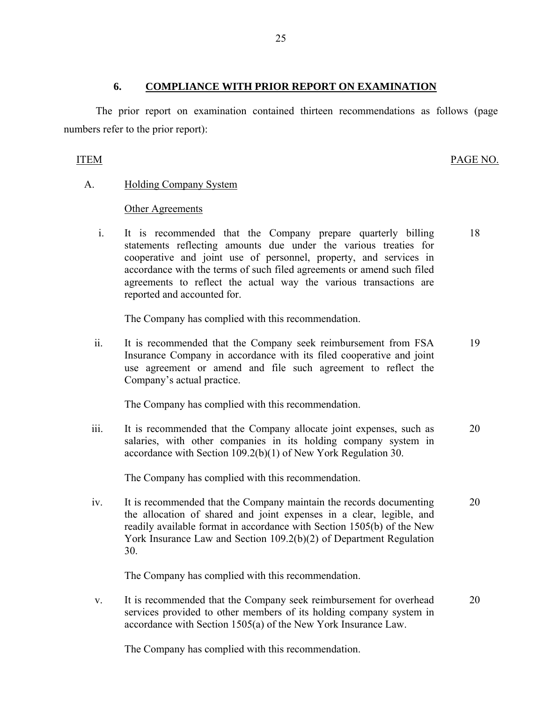#### **6. COMPLIANCE WITH PRIOR REPORT ON EXAMINATION**

The prior report on examination contained thirteen recommendations as follows (page numbers refer to the prior report):

#### ITEM PAGE NO.

### A. Holding Company System

### Other Agreements

 i. It is recommended that the Company prepare quarterly billing statements reflecting amounts due under the various treaties for cooperative and joint use of personnel, property, and services in accordance with the terms of such filed agreements or amend such filed agreements to reflect the actual way the various transactions are reported and accounted for. 18

The Company has complied with this recommendation.

ii. It is recommended that the Company seek reimbursement from FSA Insurance Company in accordance with its filed cooperative and joint use agreement or amend and file such agreement to reflect the Company's actual practice. 19

The Company has complied with this recommendation.

iii. It is recommended that the Company allocate joint expenses, such as salaries, with other companies in its holding company system in accordance with Section 109.2(b)(1) of New York Regulation 30. 20

The Company has complied with this recommendation.

iv. It is recommended that the Company maintain the records documenting the allocation of shared and joint expenses in a clear, legible, and readily available format in accordance with Section 1505(b) of the New York Insurance Law and Section 109.2(b)(2) of Department Regulation 30. 20

The Company has complied with this recommendation.

v. It is recommended that the Company seek reimbursement for overhead services provided to other members of its holding company system in accordance with Section 1505(a) of the New York Insurance Law. 20

The Company has complied with this recommendation.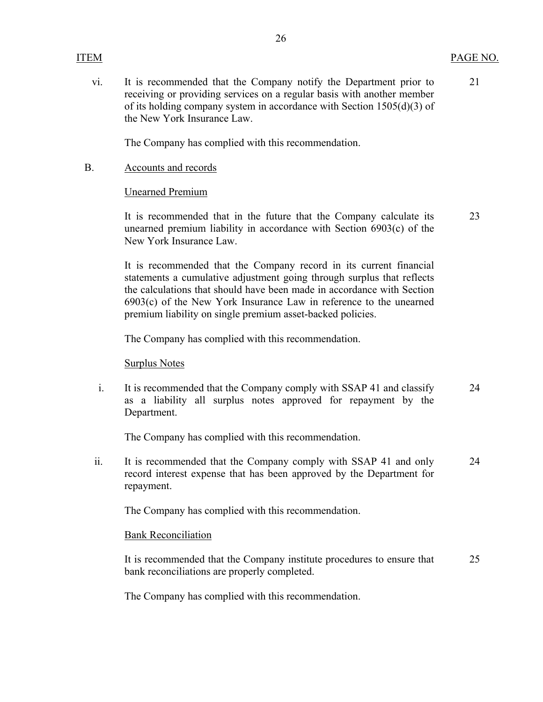21

 vi. It is recommended that the Company notify the Department prior to receiving or providing services on a regular basis with another member of its holding company system in accordance with Section 1505(d)(3) of the New York Insurance Law.

The Company has complied with this recommendation.

#### B. Accounts and records

#### Unearned Premium

It is recommended that in the future that the Company calculate its unearned premium liability in accordance with Section 6903(c) of the New York Insurance Law. 23

It is recommended that the Company record in its current financial statements a cumulative adjustment going through surplus that reflects the calculations that should have been made in accordance with Section 6903(c) of the New York Insurance Law in reference to the unearned premium liability on single premium asset-backed policies.

The Company has complied with this recommendation.

Surplus Notes

i. It is recommended that the Company comply with SSAP 41 and classify as a liability all surplus notes approved for repayment by the Department. 24

The Company has complied with this recommendation.

ii. It is recommended that the Company comply with SSAP 41 and only record interest expense that has been approved by the Department for repayment. 24

The Company has complied with this recommendation.

#### Bank Reconciliation

It is recommended that the Company institute procedures to ensure that bank reconciliations are properly completed. 25

The Company has complied with this recommendation.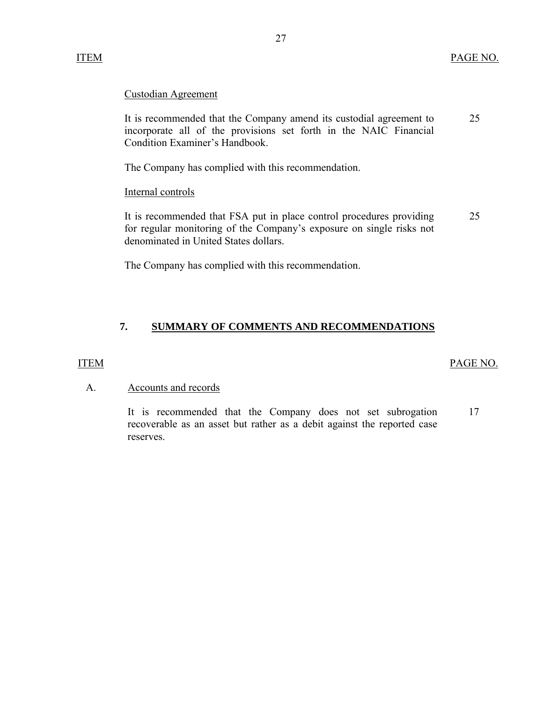## <span id="page-28-0"></span>Custodian Agreement

It is recommended that the Company amend its custodial agreement to 25 incorporate all of the provisions set forth in the NAIC Financial Condition Examiner's Handbook.

The Company has complied with this recommendation.

Internal controls

It is recommended that FSA put in place control procedures providing 25 for regular monitoring of the Company's exposure on single risks not denominated in United States dollars.

The Company has complied with this recommendation.

## **7. SUMMARY OF COMMENTS AND RECOMMENDATIONS**

#### ITEM PAGE NO.

#### A. Accounts and records

It is recommended that the Company does not set subrogation 17 recoverable as an asset but rather as a debit against the reported case reserves.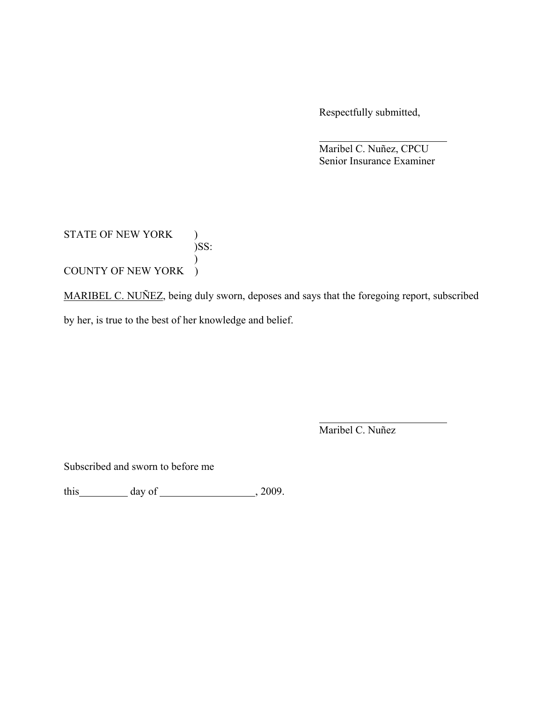Respectfully submitted,

 Maribel C. Nuñez, CPCU Senior Insurance Examiner

## STATE OF NEW YORK )  $)$ <br>)SS: ) COUNTY OF NEW YORK )

MARIBEL C. NUÑEZ, being duly sworn, deposes and says that the foregoing report, subscribed by her, is true to the best of her knowledge and belief.

Maribel C. Nuñez

Subscribed and sworn to before me

this  $\qquad \qquad$  day of  $\qquad \qquad$  , 2009.